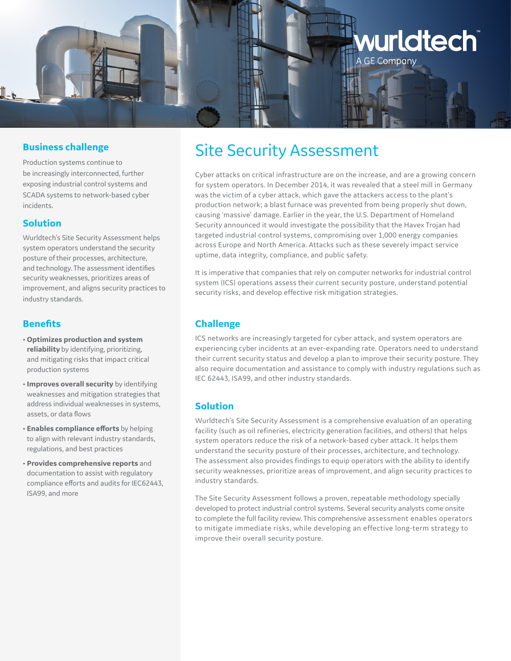

#### **Business challenge**

Production systems continue to be increasingly interconnected, further exposing industrial control systems and SCADA systems to network-based cyber incidents.

#### **Solution**

Wurldtech's Site Security Assessment helps system operators understand the security posture of their processes, architecture, and technology. The assessment identifies security weaknesses, prioritizes areas of improvement, and aligns security practices to industry standards.

#### **Benefits**

- **Optimizes production and system reliability** by identifying, prioritizing, and mitigating risks that impact critical production systems
- **Improves overall security** by identifying weaknesses and mitigation strategies that address individual weaknesses in systems, assets, or data flows
- **Enables compliance efforts** by helping to align with relevant industry standards, regulations, and best practices
- **Provides comprehensive reports** and documentation to assist with regulatory compliance efforts and audits for IEC62443, ISA99, and more

# Site Security Assessment

Cyber attacks on critical infrastructure are on the increase, and are a growing concern for system operators. In December 2014, it was revealed that a steel mill in Germany was the victim of a cyber attack, which gave the attackers access to the plant's production network; a blast furnace was prevented from being properly shut down, causing 'massive' damage. Earlier in the year, the U.S. Department of Homeland Security announced it would investigate the possibility that the Havex Trojan had targeted industrial control systems, compromising over 1,000 energy companies across Europe and North America. Attacks such as these severely impact service uptime, data integrity, compliance, and public safety.

It is imperative that companies that rely on computer networks for industrial control system (ICS) operations assess their current security posture, understand potential security risks, and develop effective risk mitigation strategies.

# **Challenge**

ICS networks are increasingly targeted for cyber attack, and system operators are experiencing cyber incidents at an ever-expanding rate. Operators need to understand their current security status and develop a plan to improve their security posture. They also require documentation and assistance to comply with industry regulations such as IEC 62443, ISA99, and other industry standards.

## **Solution**

Wurldtech's Site Security Assessment is a comprehensive evaluation of an operating facility (such as oil refineries, electricity generation facilities, and others) that helps system operators reduce the risk of a network-based cyber attack. It helps them understand the security posture of their processes, architecture, and technology. The assessment also provides findings to equip operators with the ability to identify security weaknesses, prioritize areas of improvement, and align security practices to industry standards.

The Site Security Assessment follows a proven, repeatable methodology specially developed to protect industrial control systems. Several security analysts come onsite to complete the full facility review. This comprehensive assessment enables operators to mitigate immediate risks, while developing an effective long-term strategy to improve their overall security posture.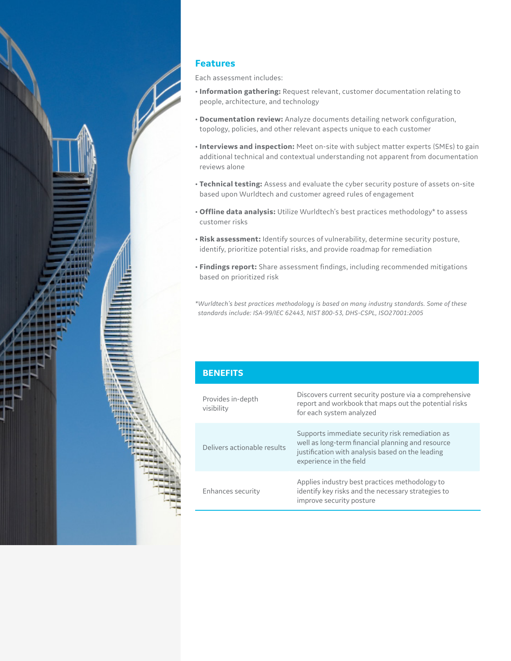

# **Features**

Each assessment includes:

- **Information gathering:** Request relevant, customer documentation relating to people, architecture, and technology
- **Documentation review:** Analyze documents detailing network configuration, topology, policies, and other relevant aspects unique to each customer
- **Interviews and inspection:** Meet on-site with subject matter experts (SMEs) to gain additional technical and contextual understanding not apparent from documentation reviews alone
- **Technical testing:** Assess and evaluate the cyber security posture of assets on-site based upon Wurldtech and customer agreed rules of engagement
- **Offline data analysis:** Utilize Wurldtech's best practices methodology\* to assess customer risks
- **Risk assessment:** Identify sources of vulnerability, determine security posture, identify, prioritize potential risks, and provide roadmap for remediation
- **Findings report:** Share assessment findings, including recommended mitigations based on prioritized risk

*\*Wurldtech's best practices methodology is based on many industry standards. Some of these standards include: ISA-99/IEC 62443, NIST 800-53, DHS-CSPL, ISO27001:2005*

| <b>BENEFITS</b>                 |                                                                                                                                                                                     |
|---------------------------------|-------------------------------------------------------------------------------------------------------------------------------------------------------------------------------------|
| Provides in-depth<br>visibility | Discovers current security posture via a comprehensive<br>report and workbook that maps out the potential risks<br>for each system analyzed                                         |
| Delivers actionable results     | Supports immediate security risk remediation as<br>well as long-term financial planning and resource<br>justification with analysis based on the leading<br>experience in the field |
| Enhances security               | Applies industry best practices methodology to<br>identify key risks and the necessary strategies to<br>improve security posture                                                    |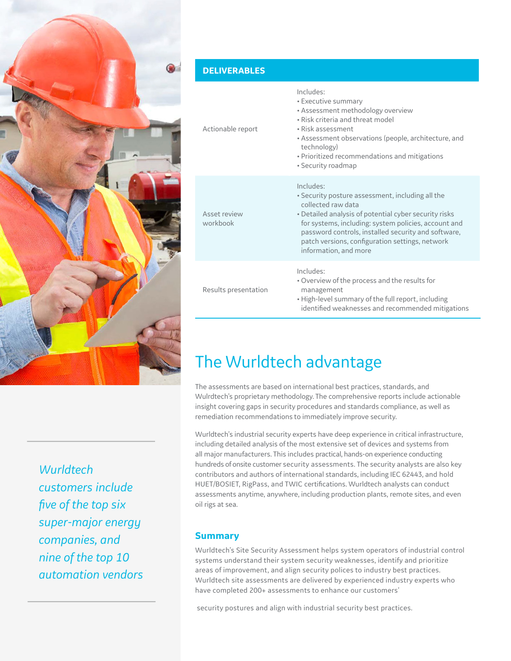

#### **DELIVERABLES**

| Actionable report        | Includes:<br>• Executive summary<br>• Assessment methodology overview<br>• Risk criteria and threat model<br>• Risk assessment<br>• Assessment observations (people, architecture, and<br>technology)<br>· Prioritized recommendations and mitigations<br>• Security roadmap                                                            |
|--------------------------|-----------------------------------------------------------------------------------------------------------------------------------------------------------------------------------------------------------------------------------------------------------------------------------------------------------------------------------------|
| Asset review<br>workbook | Includes:<br>• Security posture assessment, including all the<br>collected raw data<br>• Detailed analysis of potential cyber security risks<br>for systems, including: system policies, account and<br>password controls, installed security and software,<br>patch versions, configuration settings, network<br>information, and more |
| Results presentation     | Includes:<br>• Overview of the process and the results for<br>management<br>• High-level summary of the full report, including<br>identified weaknesses and recommended mitigations                                                                                                                                                     |

# The Wurldtech advantage

The assessments are based on international best practices, standards, and Wulrdtech's proprietary methodology. The comprehensive reports include actionable insight covering gaps in security procedures and standards compliance, as well as remediation recommendations to immediately improve security.

Wurldtech's industrial security experts have deep experience in critical infrastructure, including detailed analysis of the most extensive set of devices and systems from all major manufacturers. This includes practical, hands-on experience conducting hundreds of onsite customer security assessments. The security analysts are also key contributors and authors of international standards, including IEC 62443, and hold HUET/BOSIET, RigPass, and TWIC certifications. Wurldtech analysts can conduct assessments anytime, anywhere, including production plants, remote sites, and even oil rigs at sea.

*Wurldtech customers include five of the top six super-major energy companies, and nine of the top 10 automation vendors*

## **Summary**

Wurldtech's Site Security Assessment helps system operators of industrial control systems understand their system security weaknesses, identify and prioritize areas of improvement, and align security polices to industry best practices. Wurldtech site assessments are delivered by experienced industry experts who have completed 200+ assessments to enhance our customers'

security postures and align with industrial security best practices.